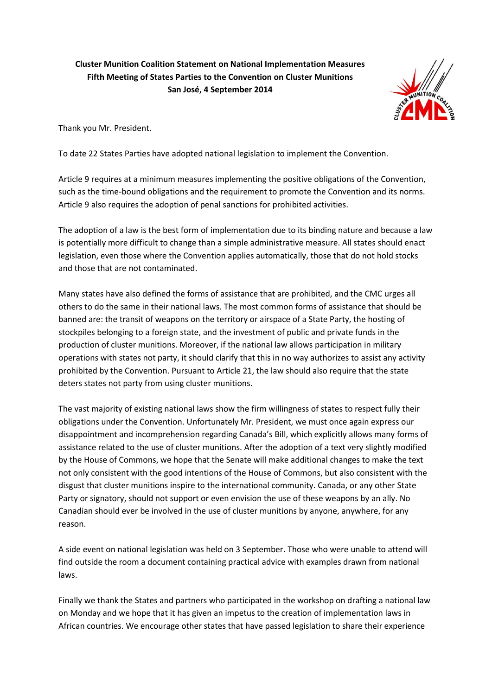**Cluster Munition Coalition Statement on National Implementation Measures Fifth Meeting of States Parties to the Convention on Cluster Munitions San José, 4 September 2014**



Thank you Mr. President.

To date 22 States Parties have adopted national legislation to implement the Convention.

Article 9 requires at a minimum measures implementing the positive obligations of the Convention, such as the time-bound obligations and the requirement to promote the Convention and its norms. Article 9 also requires the adoption of penal sanctions for prohibited activities.

The adoption of a law is the best form of implementation due to its binding nature and because a law is potentially more difficult to change than a simple administrative measure. All states should enact legislation, even those where the Convention applies automatically, those that do not hold stocks and those that are not contaminated.

Many states have also defined the forms of assistance that are prohibited, and the CMC urges all others to do the same in their national laws. The most common forms of assistance that should be banned are: the transit of weapons on the territory or airspace of a State Party, the hosting of stockpiles belonging to a foreign state, and the investment of public and private funds in the production of cluster munitions. Moreover, if the national law allows participation in military operations with states not party, it should clarify that this in no way authorizes to assist any activity prohibited by the Convention. Pursuant to Article 21, the law should also require that the state deters states not party from using cluster munitions.

The vast majority of existing national laws show the firm willingness of states to respect fully their obligations under the Convention. Unfortunately Mr. President, we must once again express our disappointment and incomprehension regarding Canada's Bill, which explicitly allows many forms of assistance related to the use of cluster munitions. After the adoption of a text very slightly modified by the House of Commons, we hope that the Senate will make additional changes to make the text not only consistent with the good intentions of the House of Commons, but also consistent with the disgust that cluster munitions inspire to the international community. Canada, or any other State Party or signatory, should not support or even envision the use of these weapons by an ally. No Canadian should ever be involved in the use of cluster munitions by anyone, anywhere, for any reason.

A side event on national legislation was held on 3 September. Those who were unable to attend will find outside the room a document containing practical advice with examples drawn from national laws.

Finally we thank the States and partners who participated in the workshop on drafting a national law on Monday and we hope that it has given an impetus to the creation of implementation laws in African countries. We encourage other states that have passed legislation to share their experience